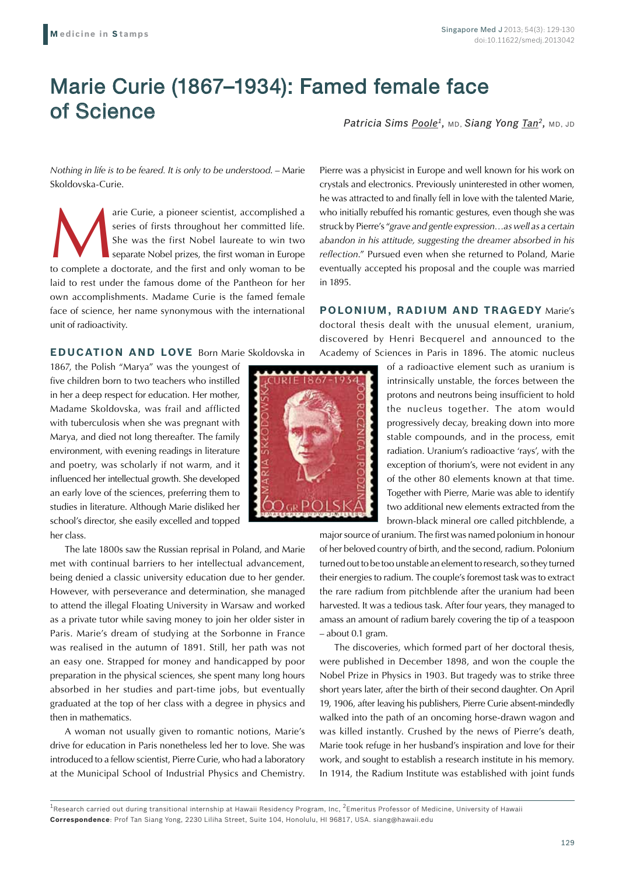## Marie Curie (1867–1934): Famed female face of Science

*Patricia Sims Poole1,* MD, *Siang Yong Tan2,* MD, JD

*Nothing in life is to be feared. It is only to be understood*. – Marie Skoldovska-Curie.

arie Curie, a pioneer scientist, accomplished a series of firsts throughout her committed life.<br>
She was the first Nobel laureate to win two separate Nobel prizes, the first woman in Europe to complete a doctorate, and the series of firsts throughout her committed life. She was the first Nobel laureate to win two separate Nobel prizes, the first woman in Europe laid to rest under the famous dome of the Pantheon for her own accomplishments. Madame Curie is the famed female face of science, her name synonymous with the international unit of radioactivity.

**EDUCATION AND LOVE** Born Marie Skoldovska in

1867, the Polish "Marya" was the youngest of five children born to two teachers who instilled in her a deep respect for education. Her mother, Madame Skoldovska, was frail and afflicted with tuberculosis when she was pregnant with Marya, and died not long thereafter. The family environment, with evening readings in literature and poetry, was scholarly if not warm, and it influenced her intellectual growth. She developed an early love of the sciences, preferring them to studies in literature. Although Marie disliked her school's director, she easily excelled and topped her class.

The late 1800s saw the Russian reprisal in Poland, and Marie met with continual barriers to her intellectual advancement, being denied a classic university education due to her gender. However, with perseverance and determination, she managed to attend the illegal Floating University in Warsaw and worked as a private tutor while saving money to join her older sister in Paris. Marie's dream of studying at the Sorbonne in France was realised in the autumn of 1891. Still, her path was not an easy one. Strapped for money and handicapped by poor preparation in the physical sciences, she spent many long hours absorbed in her studies and part-time jobs, but eventually graduated at the top of her class with a degree in physics and then in mathematics.

A woman not usually given to romantic notions, Marie's drive for education in Paris nonetheless led her to love. She was introduced to a fellow scientist, Pierre Curie, who had a laboratory at the Municipal School of Industrial Physics and Chemistry.

Pierre was a physicist in Europe and well known for his work on crystals and electronics. Previously uninterested in other women, he was attracted to and finally fell in love with the talented Marie, who initially rebuffed his romantic gestures, even though she was struck by Pierre's "*grave and gentle expression…as well as a certain abandon in his attitude, suggesting the dreamer absorbed in his reflection*." Pursued even when she returned to Poland, Marie eventually accepted his proposal and the couple was married in 1895.

**POLONIUM, RADIUM AND TRAGEDY** Marie's doctoral thesis dealt with the unusual element, uranium, discovered by Henri Becquerel and announced to the Academy of Sciences in Paris in 1896. The atomic nucleus

> of a radioactive element such as uranium is intrinsically unstable, the forces between the protons and neutrons being insufficient to hold the nucleus together. The atom would progressively decay, breaking down into more stable compounds, and in the process, emit radiation. Uranium's radioactive 'rays', with the exception of thorium's, were not evident in any of the other 80 elements known at that time. Together with Pierre, Marie was able to identify two additional new elements extracted from the brown-black mineral ore called pitchblende, a

major source of uranium. The first was named polonium in honour of her beloved country of birth, and the second, radium. Polonium turned out to be too unstable an element to research, so they turned their energies to radium. The couple's foremost task was to extract the rare radium from pitchblende after the uranium had been harvested. It was a tedious task. After four years, they managed to amass an amount of radium barely covering the tip of a teaspoon – about 0.1 gram.

The discoveries, which formed part of her doctoral thesis, were published in December 1898, and won the couple the Nobel Prize in Physics in 1903. But tragedy was to strike three short years later, after the birth of their second daughter. On April 19, 1906, after leaving his publishers, Pierre Curie absent-mindedly walked into the path of an oncoming horse-drawn wagon and was killed instantly. Crushed by the news of Pierre's death, Marie took refuge in her husband's inspiration and love for their work, and sought to establish a research institute in his memory. In 1914, the Radium Institute was established with joint funds

 $1$ Research carried out during transitional internship at Hawaii Residency Program, Inc, <sup>2</sup>Emeritus Professor of Medicine, University of Hawaii **Correspondence**: Prof Tan Siang Yong, 2230 Liliha Street, Suite 104, Honolulu, HI 96817, USA. siang@hawaii.edu